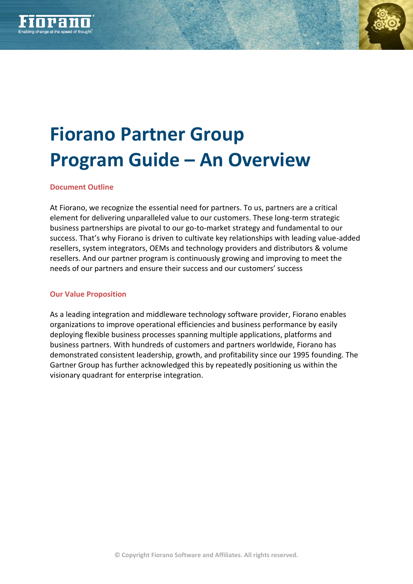



# **Fiorano Partner Group Program Guide – An Overview**

## **Document Outline**

At Fiorano, we recognize the essential need for partners. To us, partners are a critical element for delivering unparalleled value to our customers. These long-term strategic business partnerships are pivotal to our go-to-market strategy and fundamental to our success. That's why Fiorano is driven to cultivate key relationships with leading value-added resellers, system integrators, OEMs and technology providers and distributors & volume resellers. And our partner program is continuously growing and improving to meet the needs of our partners and ensure their success and our customers' success

### **Our Value Proposition**

As a leading integration and middleware technology software provider, Fiorano enables organizations to improve operational efficiencies and business performance by easily deploying flexible business processes spanning multiple applications, platforms and business partners. With hundreds of customers and partners worldwide, Fiorano has demonstrated consistent leadership, growth, and profitability since our 1995 founding. The Gartner Group has further acknowledged this by repeatedly positioning us within the visionary quadrant for enterprise integration.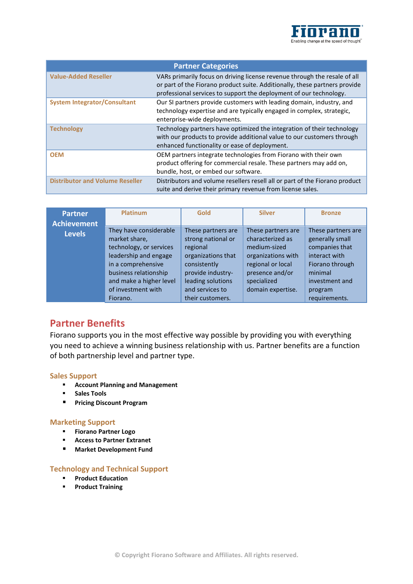

| <b>Partner Categories</b>              |                                                                                                                                                                                                                               |  |  |  |  |
|----------------------------------------|-------------------------------------------------------------------------------------------------------------------------------------------------------------------------------------------------------------------------------|--|--|--|--|
| <b>Value-Added Reseller</b>            | VARs primarily focus on driving license revenue through the resale of all<br>or part of the Fiorano product suite. Additionally, these partners provide<br>professional services to support the deployment of our technology. |  |  |  |  |
| <b>System Integrator/Consultant</b>    | Our SI partners provide customers with leading domain, industry, and<br>technology expertise and are typically engaged in complex, strategic,<br>enterprise-wide deployments.                                                 |  |  |  |  |
| <b>Technology</b>                      | Technology partners have optimized the integration of their technology<br>with our products to provide additional value to our customers through<br>enhanced functionality or ease of deployment.                             |  |  |  |  |
| <b>OEM</b>                             | OEM partners integrate technologies from Fiorano with their own<br>product offering for commercial resale. These partners may add on,<br>bundle, host, or embed our software.                                                 |  |  |  |  |
| <b>Distributor and Volume Reseller</b> | Distributors and volume resellers resell all or part of the Fiorano product<br>suite and derive their primary revenue from license sales.                                                                                     |  |  |  |  |

| <b>Partner</b><br>Achievement | <b>Platinum</b>                                                                                                                                                                                         | Gold                                                                                                                                                                        | <b>Silver</b>                                                                                                                                            | <b>Bronze</b>                                                                                                                                        |
|-------------------------------|---------------------------------------------------------------------------------------------------------------------------------------------------------------------------------------------------------|-----------------------------------------------------------------------------------------------------------------------------------------------------------------------------|----------------------------------------------------------------------------------------------------------------------------------------------------------|------------------------------------------------------------------------------------------------------------------------------------------------------|
| <b>Levels</b>                 | They have considerable<br>market share,<br>technology, or services<br>leadership and engage<br>in a comprehensive<br>business relationship<br>and make a higher level<br>of investment with<br>Fiorano. | These partners are<br>strong national or<br>regional<br>organizations that<br>consistently<br>provide industry-<br>leading solutions<br>and services to<br>their customers. | These partners are<br>characterized as<br>medium-sized<br>organizations with<br>regional or local<br>presence and/or<br>specialized<br>domain expertise. | These partners are<br>generally small<br>companies that<br>interact with<br>Fiorano through<br>minimal<br>investment and<br>program<br>requirements. |

# **Partner Benefits**

Fiorano supports you in the most effective way possible by providing you with everything you need to achieve a winning business relationship with us. Partner benefits are a function of both partnership level and partner type.

#### **Sales Support**

- **Account Planning and Management**
- **F** Sales Tools
- **Pricing Discount Program**

#### **Marketing Support**

- **Fiorano Partner Logo**
- **Access to Partner Extranet**
- **Market Development Fund**

#### **Technology and Technical Support**

- **Product Education**
- **Product Training**